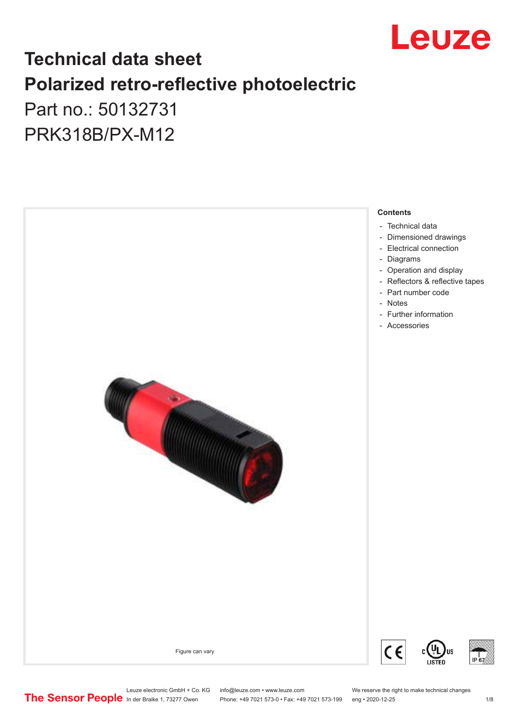

# **Technical data sheet Polarized retro-reflective photoelectric**  Part no.: 50132731

PRK318B/PX-M12



Leuze electronic GmbH + Co. KG info@leuze.com • www.leuze.com We reserve the right to make technical changes<br>
The Sensor People in der Braike 1, 73277 Owen Phone: +49 7021 573-0 • Fax: +49 7021 573-199 eng • 2020-12-25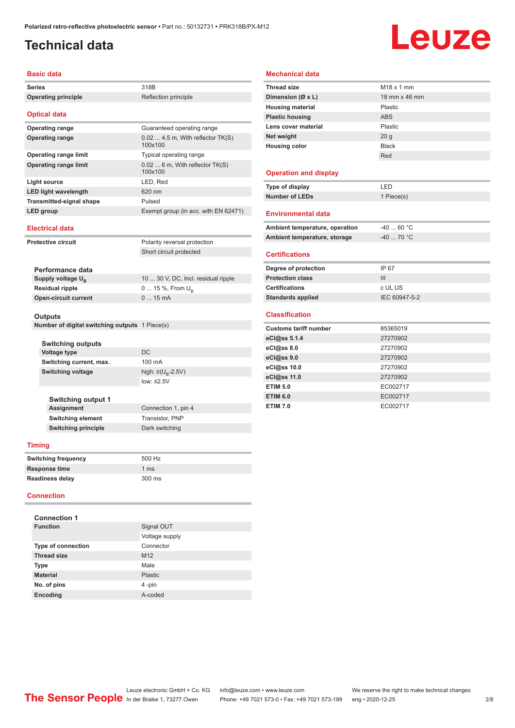## <span id="page-1-0"></span>**Technical data**

# Leuze

#### **Basic data**

|                 | שמש טופטש                                                 |                                               |
|-----------------|-----------------------------------------------------------|-----------------------------------------------|
| <b>Series</b>   |                                                           | 318B                                          |
|                 | <b>Operating principle</b>                                | Reflection principle                          |
|                 | <b>Optical data</b>                                       |                                               |
|                 | <b>Operating range</b>                                    | Guaranteed operating range                    |
|                 | <b>Operating range</b>                                    | $0.02$ 4.5 m, With reflector TK(S)<br>100x100 |
|                 | <b>Operating range limit</b>                              | Typical operating range                       |
|                 | <b>Operating range limit</b>                              | $0.026$ m, With reflector TK(S)<br>100x100    |
|                 | <b>Light source</b>                                       | LED, Red                                      |
|                 | <b>LED light wavelength</b>                               | 620 nm                                        |
|                 | <b>Transmitted-signal shape</b>                           | Pulsed                                        |
|                 | LED group                                                 | Exempt group (in acc. with EN 62471)          |
|                 | <b>Electrical data</b>                                    |                                               |
|                 | <b>Protective circuit</b>                                 | Polarity reversal protection                  |
|                 |                                                           | Short circuit protected                       |
|                 |                                                           |                                               |
|                 | Performance data                                          |                                               |
|                 | Supply voltage U <sub>B</sub>                             | 10  30 V, DC, Incl. residual ripple           |
|                 | <b>Residual ripple</b>                                    | 0  15 %, From $U_{\rm B}$                     |
|                 | <b>Open-circuit current</b>                               | $015$ mA                                      |
|                 |                                                           |                                               |
|                 | Outputs<br>Number of digital switching outputs 1 Piece(s) |                                               |
|                 |                                                           |                                               |
|                 | <b>Switching outputs</b>                                  |                                               |
|                 | <b>Voltage type</b>                                       | DC                                            |
|                 | Switching current, max.                                   | 100 mA                                        |
|                 | <b>Switching voltage</b>                                  | high: $\geq (U_{\text{B}} - 2.5V)$            |
|                 |                                                           | low: $\leq 2.5V$                              |
|                 |                                                           |                                               |
|                 | <b>Switching output 1</b>                                 |                                               |
|                 | <b>Assignment</b>                                         | Connection 1, pin 4                           |
|                 | <b>Switching element</b>                                  | Transistor, PNP                               |
|                 | <b>Switching principle</b>                                | Dark switching                                |
|                 | <b>Timing</b>                                             |                                               |
|                 | <b>Switching frequency</b>                                | 500 Hz                                        |
|                 | <b>Response time</b>                                      | 1 <sub>ms</sub>                               |
|                 | Readiness delay                                           | 300 ms                                        |
|                 | <b>Connection</b>                                         |                                               |
|                 |                                                           |                                               |
|                 | <b>Connection 1</b>                                       |                                               |
| <b>Function</b> |                                                           | Signal OUT                                    |
|                 |                                                           | Voltage supply                                |
|                 | <b>Type of connection</b>                                 | Connector                                     |
|                 | <b>Thread size</b>                                        | M12                                           |
|                 | Type                                                      | Male                                          |
|                 | <b>Material</b>                                           | <b>Plastic</b>                                |

**No. of pins** 4 -pin **Encoding** A-coded

#### **Mechanical data**

| <b>Thread size</b>             | $M18 \times 1$ mm |
|--------------------------------|-------------------|
| Dimension (Ø x L)              | 18 mm x 46 mm     |
| <b>Housing material</b>        | Plastic           |
| <b>Plastic housing</b>         | <b>ABS</b>        |
| Lens cover material            | Plastic           |
| Net weight                     | 20 <sub>g</sub>   |
| <b>Housing color</b>           | <b>Black</b>      |
|                                | Red               |
|                                |                   |
| <b>Operation and display</b>   |                   |
| Type of display                | LED               |
| <b>Number of LEDs</b>          | 1 Piece(s)        |
|                                |                   |
| <b>Environmental data</b>      |                   |
| Ambient temperature, operation | $-40$ 60 °C       |
| Ambient temperature, storage   | $-4070$ °C        |
|                                |                   |
| <b>Certifications</b>          |                   |
| Degree of protection           | IP 67             |
| <b>Protection class</b>        | III               |
| <b>Certifications</b>          | c UL US           |
| <b>Standards applied</b>       | IEC 60947-5-2     |
|                                |                   |
| <b>Classification</b>          |                   |
| <b>Customs tariff number</b>   | 85365019          |
| eCl@ss 5.1.4                   | 27270902          |
| eCl@ss 8.0                     | 27270902          |
| eCl@ss 9.0                     | 27270902          |
| eCl@ss 10.0                    | 27270902          |
| eCl@ss 11.0                    | 27270902          |
| <b>ETIM 5.0</b>                | EC002717          |
| <b>ETIM 6.0</b>                | EC002717          |
| <b>ETIM 7.0</b>                | EC002717          |

Leuze electronic GmbH + Co. KG info@leuze.com • www.leuze.com We reserve the right to make technical changes In der Braike 1, 73277 Owen Phone: +49 7021 573-0 • Fax: +49 7021 573-199 eng • 2020-12-25 2 /8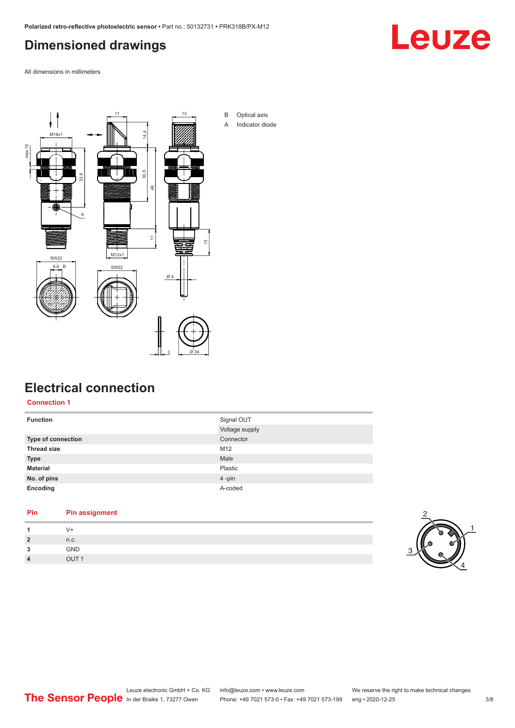# <span id="page-2-0"></span>**Dimensioned drawings**

Leuze

All dimensions in millimeters



### **Electrical connection**

**Connection 1**

| <b>Function</b>    | Signal OUT     |
|--------------------|----------------|
|                    | Voltage supply |
| Type of connection | Connector      |
| <b>Thread size</b> | M12            |
| <b>Type</b>        | Male           |
| <b>Material</b>    | Plastic        |
| No. of pins        | 4-pin          |
| Encoding           | A-coded        |

#### **Pin Pin assignment**

| 1              |      |
|----------------|------|
| $\overline{2}$ | n.c. |
| 3              | GND  |
| $\overline{4}$ | $ -$ |

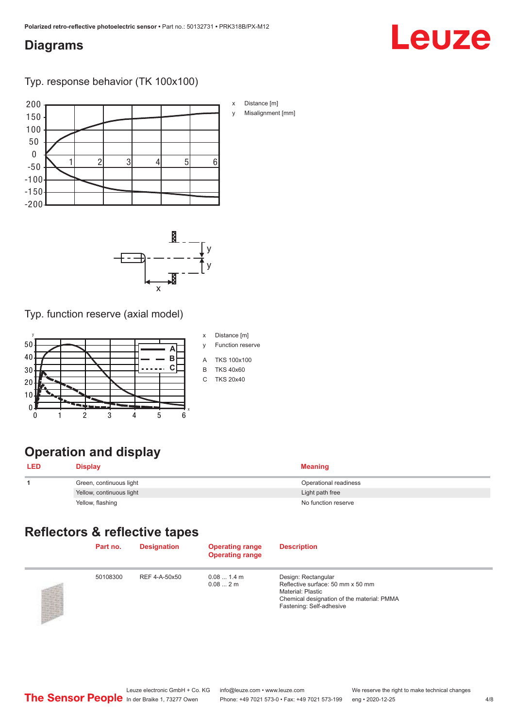### <span id="page-3-0"></span>**Diagrams**

#### Typ. response behavior (TK 100x100)





Typ. function reserve (axial model)



# **Operation and display**

| <b>LED</b> | <b>Display</b>           | Meaning               |
|------------|--------------------------|-----------------------|
|            | Green, continuous light  | Operational readiness |
|            | Yellow, continuous light | Light path free       |
|            | Yellow, flashing         | No function reserve   |

# **Reflectors & reflective tapes**

| Part no. | <b>Designation</b> | <b>Operating range</b><br><b>Operating range</b> | <b>Description</b>                                                                                                                                      |
|----------|--------------------|--------------------------------------------------|---------------------------------------------------------------------------------------------------------------------------------------------------------|
| 50108300 | REF 4-A-50x50      | $0.081.4$ m<br>0.082m                            | Design: Rectangular<br>Reflective surface: 50 mm x 50 mm<br>Material: Plastic<br>Chemical designation of the material: PMMA<br>Fastening: Self-adhesive |

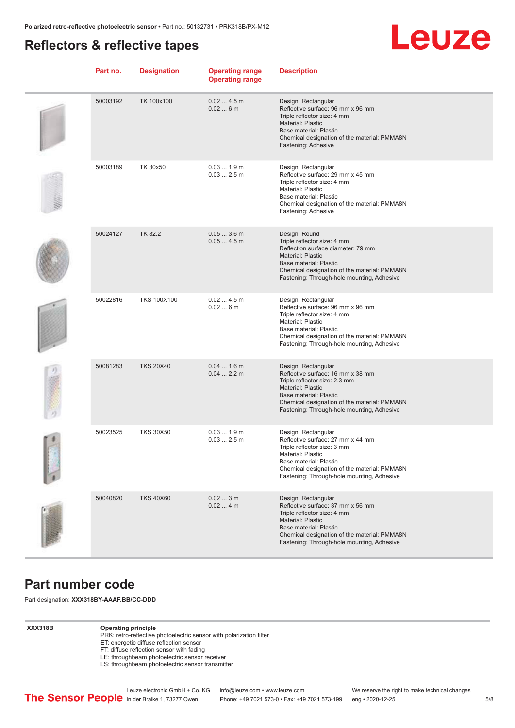#### <span id="page-4-0"></span>**Reflectors & reflective tapes**



| Part no. | <b>Designation</b> | <b>Operating range</b><br><b>Operating range</b> | <b>Description</b>                                                                                                                                                                                                                                 |
|----------|--------------------|--------------------------------------------------|----------------------------------------------------------------------------------------------------------------------------------------------------------------------------------------------------------------------------------------------------|
| 50003192 | TK 100x100         | 0.024.5m<br>0.026m                               | Design: Rectangular<br>Reflective surface: 96 mm x 96 mm<br>Triple reflector size: 4 mm<br>Material: Plastic<br>Base material: Plastic<br>Chemical designation of the material: PMMA8N<br>Fastening: Adhesive                                      |
| 50003189 | TK 30x50           | 0.031.9m<br>$0.032.5$ m                          | Design: Rectangular<br>Reflective surface: 29 mm x 45 mm<br>Triple reflector size: 4 mm<br>Material: Plastic<br>Base material: Plastic<br>Chemical designation of the material: PMMA8N<br>Fastening: Adhesive                                      |
| 50024127 | <b>TK 82.2</b>     | $0.053.6$ m<br>0.054.5m                          | Design: Round<br>Triple reflector size: 4 mm<br>Reflection surface diameter: 79 mm<br><b>Material: Plastic</b><br>Base material: Plastic<br>Chemical designation of the material: PMMA8N<br>Fastening: Through-hole mounting, Adhesive             |
| 50022816 | <b>TKS 100X100</b> | 0.024.5m<br>0.026m                               | Design: Rectangular<br>Reflective surface: 96 mm x 96 mm<br>Triple reflector size: 4 mm<br>Material: Plastic<br>Base material: Plastic<br>Chemical designation of the material: PMMA8N<br>Fastening: Through-hole mounting, Adhesive               |
| 50081283 | <b>TKS 20X40</b>   | $0.041.6$ m<br>$0.042.2$ m                       | Design: Rectangular<br>Reflective surface: 16 mm x 38 mm<br>Triple reflector size: 2.3 mm<br>Material: Plastic<br>Base material: Plastic<br>Chemical designation of the material: PMMA8N<br>Fastening: Through-hole mounting, Adhesive             |
| 50023525 | <b>TKS 30X50</b>   | 0.031.9m<br>$0.032.5$ m                          | Design: Rectangular<br>Reflective surface: 27 mm x 44 mm<br>Triple reflector size: 3 mm<br>Material: Plastic<br>Base material: Plastic<br>Chemical designation of the material: PMMA8N<br>Fastening: Through-hole mounting, Adhesive               |
| 50040820 | <b>TKS 40X60</b>   | 0.023m<br>0.024m                                 | Design: Rectangular<br>Reflective surface: 37 mm x 56 mm<br>Triple reflector size: 4 mm<br><b>Material: Plastic</b><br><b>Base material: Plastic</b><br>Chemical designation of the material: PMMA8N<br>Fastening: Through-hole mounting, Adhesive |

#### **Part number code**

Part designation: **XXX318BY-AAAF.BB/CC-DDD**

#### **XXX318B Operating principle**

PRK: retro-reflective photoelectric sensor with polarization filter

- ET: energetic diffuse reflection sensor
- FT: diffuse reflection sensor with fading
- LE: throughbeam photoelectric sensor receiver
- LS: throughbeam photoelectric sensor transmitter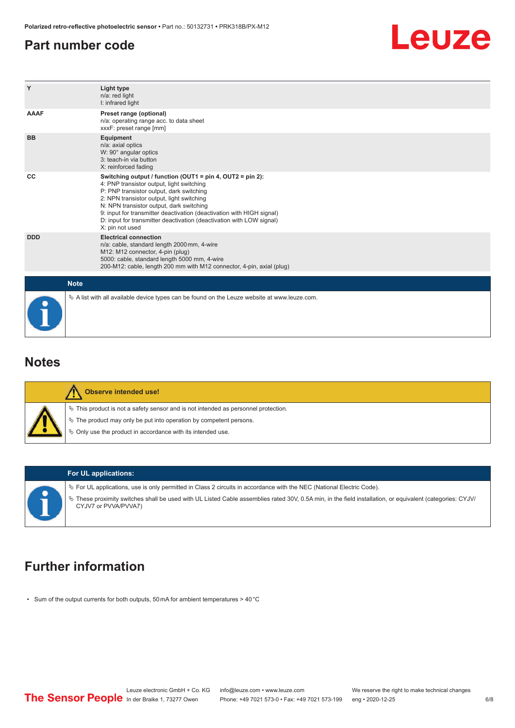#### <span id="page-5-0"></span>**Part number code**



| Y           | Light type<br>n/a: red light<br>I: infrared light                                                                                                                                                                                                                                                                                                                                                               |
|-------------|-----------------------------------------------------------------------------------------------------------------------------------------------------------------------------------------------------------------------------------------------------------------------------------------------------------------------------------------------------------------------------------------------------------------|
| <b>AAAF</b> | Preset range (optional)<br>n/a: operating range acc. to data sheet<br>xxxF: preset range [mm]                                                                                                                                                                                                                                                                                                                   |
| <b>BB</b>   | <b>Equipment</b><br>n/a: axial optics<br>W: 90° angular optics<br>3: teach-in via button<br>X: reinforced fading                                                                                                                                                                                                                                                                                                |
| CC          | Switching output / function (OUT1 = pin 4, OUT2 = pin 2):<br>4: PNP transistor output, light switching<br>P: PNP transistor output, dark switching<br>2: NPN transistor output, light switching<br>N: NPN transistor output, dark switching<br>9: input for transmitter deactivation (deactivation with HIGH signal)<br>D: input for transmitter deactivation (deactivation with LOW signal)<br>X: pin not used |
| <b>DDD</b>  | <b>Electrical connection</b><br>n/a: cable, standard length 2000 mm, 4-wire<br>M12: M12 connector, 4-pin (plug)<br>5000: cable, standard length 5000 mm, 4-wire<br>200-M12: cable, length 200 mm with M12 connector, 4-pin, axial (plug)                                                                                                                                                                        |
|             | <b>Note</b>                                                                                                                                                                                                                                                                                                                                                                                                     |
|             | $\&$ A list with all available device types can be found on the Leuze website at www.leuze.com.                                                                                                                                                                                                                                                                                                                 |

#### **Notes**

| <b>Observe intended use!</b>                                                                                                                                                                                                     |
|----------------------------------------------------------------------------------------------------------------------------------------------------------------------------------------------------------------------------------|
| $\%$ This product is not a safety sensor and is not intended as personnel protection.<br>$\%$ The product may only be put into operation by competent persons.<br>$\%$ Only use the product in accordance with its intended use. |

#### **For UL applications:**

 $\%$  For UL applications, use is only permitted in Class 2 circuits in accordance with the NEC (National Electric Code).

ª These proximity switches shall be used with UL Listed Cable assemblies rated 30V, 0.5A min, in the field installation, or equivalent (categories: CYJV/ CYJV7 or PVVA/PVVA7)

# **Further information**

• Sum of the output currents for both outputs, 50 mA for ambient temperatures > 40 °C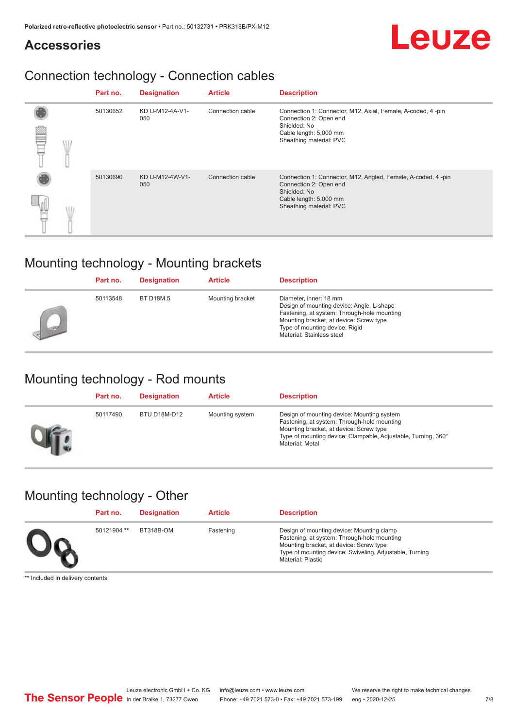# Leuze

## **Accessories**

# Connection technology - Connection cables

|  | Part no. | <b>Designation</b>     | <b>Article</b>   | <b>Description</b>                                                                                                                                          |
|--|----------|------------------------|------------------|-------------------------------------------------------------------------------------------------------------------------------------------------------------|
|  | 50130652 | KD U-M12-4A-V1-<br>050 | Connection cable | Connection 1: Connector, M12, Axial, Female, A-coded, 4-pin<br>Connection 2: Open end<br>Shielded: No<br>Cable length: 5,000 mm<br>Sheathing material: PVC  |
|  | 50130690 | KD U-M12-4W-V1-<br>050 | Connection cable | Connection 1: Connector, M12, Angled, Female, A-coded, 4-pin<br>Connection 2: Open end<br>Shielded: No<br>Cable length: 5,000 mm<br>Sheathing material: PVC |

# Mounting technology - Mounting brackets

|        | Part no. | <b>Designation</b> | <b>Article</b>   | <b>Description</b>                                                                                                                                                                                                           |
|--------|----------|--------------------|------------------|------------------------------------------------------------------------------------------------------------------------------------------------------------------------------------------------------------------------------|
| $\sim$ | 50113548 | BT D18M.5          | Mounting bracket | Diameter, inner: 18 mm<br>Design of mounting device: Angle, L-shape<br>Fastening, at system: Through-hole mounting<br>Mounting bracket, at device: Screw type<br>Type of mounting device: Rigid<br>Material: Stainless steel |

# Mounting technology - Rod mounts

| Part no. | <b>Designation</b> | <b>Article</b>  | <b>Description</b>                                                                                                                                                                                                       |
|----------|--------------------|-----------------|--------------------------------------------------------------------------------------------------------------------------------------------------------------------------------------------------------------------------|
| 50117490 | BTU D18M-D12       | Mounting system | Design of mounting device: Mounting system<br>Fastening, at system: Through-hole mounting<br>Mounting bracket, at device: Screw type<br>Type of mounting device: Clampable, Adjustable, Turning, 360°<br>Material: Metal |

# Mounting technology - Other

| Part no.    | <b>Designation</b> | <b>Article</b> | <b>Description</b>                                                                                                                                                                                                  |
|-------------|--------------------|----------------|---------------------------------------------------------------------------------------------------------------------------------------------------------------------------------------------------------------------|
| 50121904 ** | BT318B-OM          | Fastening      | Design of mounting device: Mounting clamp<br>Fastening, at system: Through-hole mounting<br>Mounting bracket, at device: Screw type<br>Type of mounting device: Swiveling, Adjustable, Turning<br>Material: Plastic |

\*\* Included in delivery contents